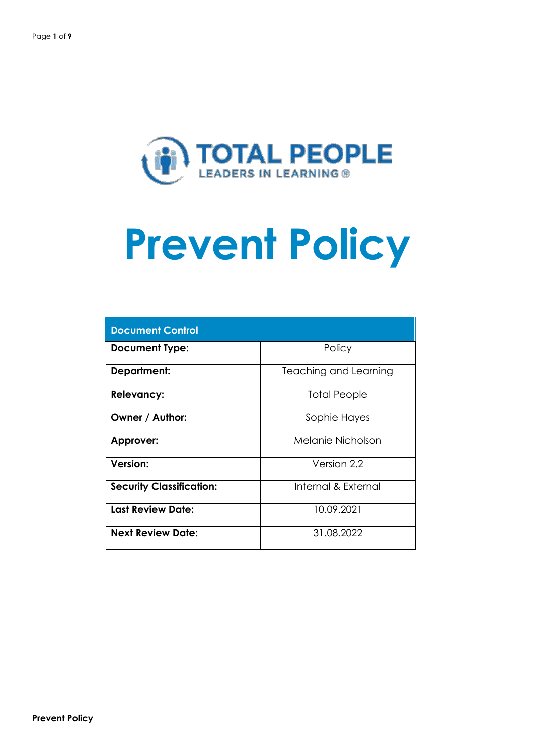

| <b>Document Control</b>         |                       |  |  |  |
|---------------------------------|-----------------------|--|--|--|
| <b>Document Type:</b>           | Policy                |  |  |  |
| <b>Department:</b>              | Teaching and Learning |  |  |  |
| <b>Relevancy:</b>               | Total People          |  |  |  |
| Owner / Author:                 | Sophie Hayes          |  |  |  |
| <b>Approver:</b>                | Melanie Nicholson     |  |  |  |
| <b>Version:</b>                 | Version 2.2           |  |  |  |
| <b>Security Classification:</b> | Internal & External   |  |  |  |
| <b>Last Review Date:</b>        | 10.09.2021            |  |  |  |
| <b>Next Review Date:</b>        | 31.08.2022            |  |  |  |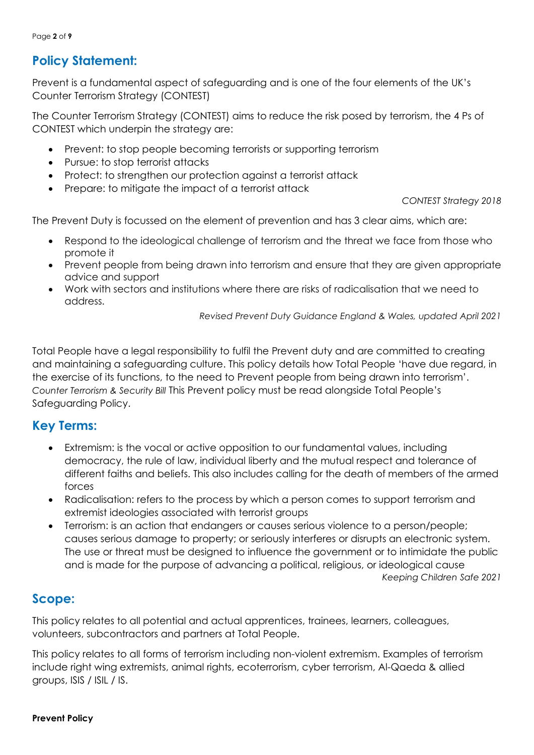Page **2** of **9**

# **Policy Statement:**

Prevent is a fundamental aspect of safeguarding and is one of the four elements of the UK's Counter Terrorism Strategy (CONTEST)

The Counter Terrorism Strategy (CONTEST) aims to reduce the risk posed by terrorism, the 4 Ps of CONTEST which underpin the strategy are:

- Prevent: to stop people becoming terrorists or supporting terrorism
- Pursue: to stop terrorist attacks
- Protect: to strengthen our protection against a terrorist attack
- Prepare: to mitigate the impact of a terrorist attack

*CONTEST Strategy 2018*

The Prevent Duty is focussed on the element of prevention and has 3 clear aims, which are:

- Respond to the ideological challenge of terrorism and the threat we face from those who promote it
- Prevent people from being drawn into terrorism and ensure that they are given appropriate advice and support
- Work with sectors and institutions where there are risks of radicalisation that we need to address.

*Revised Prevent Duty Guidance England & Wales, updated April 2021*

Total People have a legal responsibility to fulfil the Prevent duty and are committed to creating and maintaining a safeguarding culture. This policy details how Total People 'have due regard, in the exercise of its functions, to the need to Prevent people from being drawn into terrorism'. *Counter Terrorism & Security Bill* This Prevent policy must be read alongside Total People's Safeguarding Policy.

## **Key Terms:**

- Extremism: is the vocal or active opposition to our fundamental values, including democracy, the rule of law, individual liberty and the mutual respect and tolerance of different faiths and beliefs. This also includes calling for the death of members of the armed forces
- Radicalisation: refers to the process by which a person comes to support terrorism and extremist ideologies associated with terrorist groups
- Terrorism: is an action that endangers or causes serious violence to a person/people; causes serious damage to property; or seriously interferes or disrupts an electronic system. The use or threat must be designed to influence the government or to intimidate the public and is made for the purpose of advancing a political, religious, or ideological cause

*Keeping Children Safe 2021*

## **Scope:**

This policy relates to all potential and actual apprentices, trainees, learners, colleagues, volunteers, subcontractors and partners at Total People.

This policy relates to all forms of terrorism including non-violent extremism. Examples of terrorism include right wing extremists, animal rights, ecoterrorism, cyber terrorism, Al-Qaeda & allied groups, ISIS / ISIL / IS.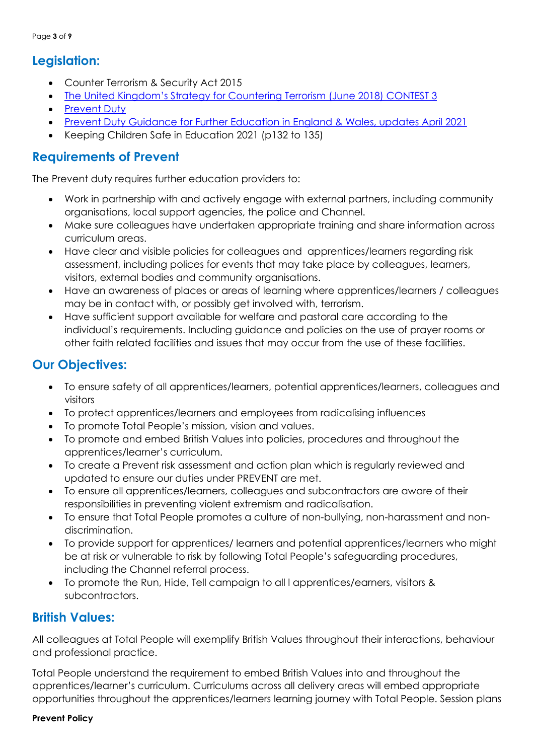## **Legislation:**

- Counter Terrorism & Security Act 2015
- The United Kingdom['s Strategy for Countering Terrorism \(June 2018\)](https://www.gov.uk/government/publications/counter-terrorism-strategy-contest-2018) CONTEST 3
- [Prevent](https://www.gov.uk/government/publications/prevent-duty-guidance/revised-prevent-duty-guidance-for-england-and-wales) Duty
- Prevent Duty Guidance [for Further Education in England & Wales, updates April 2021](https://www.gov.uk/government/publications/prevent-duty-guidance/prevent-duty-guidance-for-further-education-institutions-in-england-and-wales)
- Keeping Children Safe in Education 2021 (p132 to 135)

## **Requirements of Prevent**

The Prevent duty requires further education providers to:

- Work in partnership with and actively engage with external partners, including community organisations, local support agencies, the police and Channel.
- Make sure colleagues have undertaken appropriate training and share information across curriculum areas.
- Have clear and visible policies for colleagues and apprentices/learners regarding risk assessment, including polices for events that may take place by colleagues, learners, visitors, external bodies and community organisations.
- Have an awareness of places or areas of learning where apprentices/learners / colleagues may be in contact with, or possibly get involved with, terrorism.
- Have sufficient support available for welfare and pastoral care according to the individual's requirements. Including guidance and policies on the use of prayer rooms or other faith related facilities and issues that may occur from the use of these facilities.

## **Our Objectives:**

- To ensure safety of all apprentices/learners, potential apprentices/learners, colleagues and visitors
- To protect apprentices/learners and employees from radicalising influences
- To promote Total People's mission, vision and values.
- To promote and embed British Values into policies, procedures and throughout the apprentices/learner's curriculum.
- To create a Prevent risk assessment and action plan which is regularly reviewed and updated to ensure our duties under PREVENT are met.
- To ensure all apprentices/learners, colleagues and subcontractors are aware of their responsibilities in preventing violent extremism and radicalisation.
- To ensure that Total People promotes a culture of non-bullying, non-harassment and nondiscrimination.
- To provide support for apprentices/ learners and potential apprentices/learners who might be at risk or vulnerable to risk by following Total People's safeguarding procedures, including the Channel referral process.
- To promote the Run, Hide, Tell campaign to all l apprentices/earners, visitors & subcontractors.

## **British Values:**

All colleagues at Total People will exemplify British Values throughout their interactions, behaviour and professional practice.

Total People understand the requirement to embed British Values into and throughout the apprentices/learner's curriculum. Curriculums across all delivery areas will embed appropriate opportunities throughout the apprentices/learners learning journey with Total People. Session plans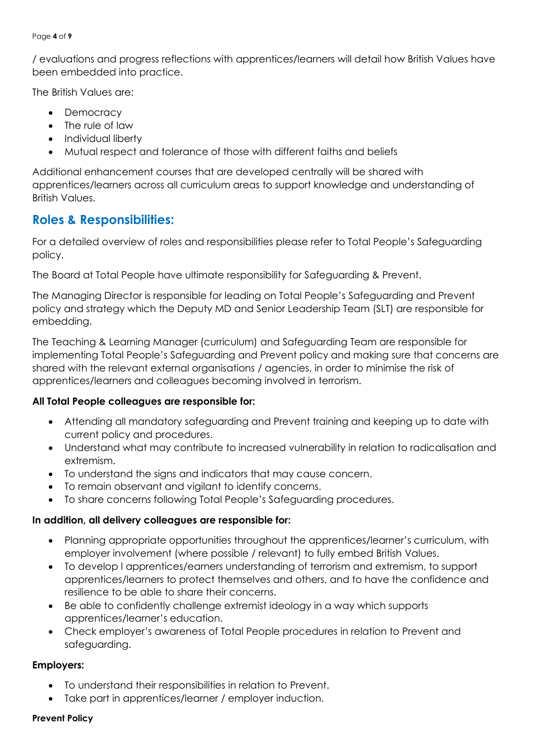#### Page **4** of **9**

/ evaluations and progress reflections with apprentices/learners will detail how British Values have been embedded into practice.

The British Values are:

- Democracy
- The rule of law
- Individual liberty
- Mutual respect and tolerance of those with different faiths and beliefs

Additional enhancement courses that are developed centrally will be shared with apprentices/learners across all curriculum areas to support knowledge and understanding of British Values.

## **Roles & Responsibilities:**

For a detailed overview of roles and responsibilities please refer to Total People's Safeguarding policy.

The Board at Total People have ultimate responsibility for Safeguarding & Prevent.

The Managing Director is responsible for leading on Total People's Safeguarding and Prevent policy and strategy which the Deputy MD and Senior Leadership Team (SLT) are responsible for embedding.

The Teaching & Learning Manager (curriculum) and Safeguarding Team are responsible for implementing Total People's Safeguarding and Prevent policy and making sure that concerns are shared with the relevant external organisations / agencies, in order to minimise the risk of apprentices/learners and colleagues becoming involved in terrorism.

### **All Total People colleagues are responsible for:**

- Attending all mandatory safeguarding and Prevent training and keeping up to date with current policy and procedures.
- Understand what may contribute to increased vulnerability in relation to radicalisation and extremism.
- To understand the signs and indicators that may cause concern.
- To remain observant and vigilant to identify concerns.
- To share concerns following Total People's Safeguarding procedures.

### **In addition, all delivery colleagues are responsible for:**

- Planning appropriate opportunities throughout the apprentices/learner's curriculum, with employer involvement (where possible / relevant) to fully embed British Values.
- To develop l apprentices/earners understanding of terrorism and extremism, to support apprentices/learners to protect themselves and others, and to have the confidence and resilience to be able to share their concerns.
- Be able to confidently challenge extremist ideology in a way which supports apprentices/learner's education.
- Check employer's awareness of Total People procedures in relation to Prevent and safeguarding.

### **Employers:**

- To understand their responsibilities in relation to Prevent.
- Take part in apprentices/learner / employer induction.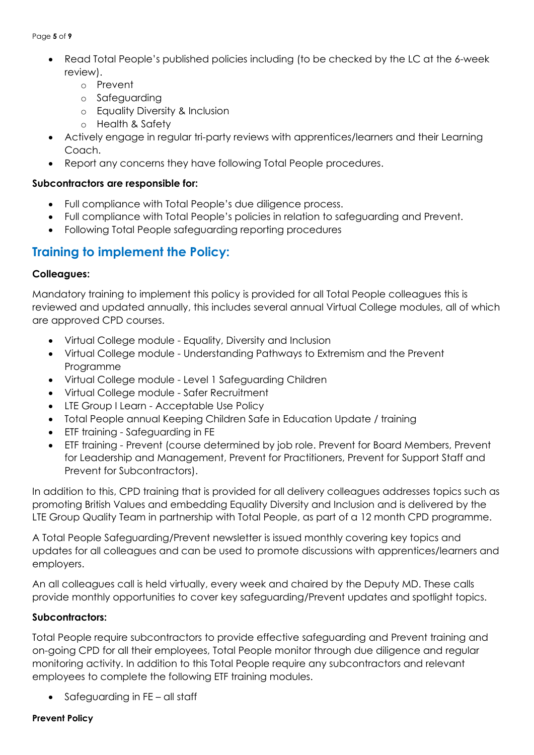#### Page **5** of **9**

- Read Total People's published policies including (to be checked by the LC at the 6-week review).
	- o Prevent
	- o Safeguarding
	- o Equality Diversity & Inclusion
	- o Health & Safety
- Actively engage in regular tri-party reviews with apprentices/learners and their Learning Coach.
- Report any concerns they have following Total People procedures.

#### **Subcontractors are responsible for:**

- Full compliance with Total People's due diligence process.
- Full compliance with Total People's policies in relation to safeguarding and Prevent.
- Following Total People safeguarding reporting procedures

## **Training to implement the Policy:**

### **Colleagues:**

Mandatory training to implement this policy is provided for all Total People colleagues this is reviewed and updated annually, this includes several annual Virtual College modules, all of which are approved CPD courses.

- Virtual College module Equality, Diversity and Inclusion
- Virtual College module Understanding Pathways to Extremism and the Prevent Programme
- Virtual College module Level 1 Safeguarding Children
- Virtual College module Safer Recruitment
- LTE Group I Learn Acceptable Use Policy
- Total People annual Keeping Children Safe in Education Update / training
- ETF training Safeguarding in FE
- ETF training Prevent (course determined by job role. Prevent for Board Members, Prevent for Leadership and Management, Prevent for Practitioners, Prevent for Support Staff and Prevent for Subcontractors).

In addition to this, CPD training that is provided for all delivery colleagues addresses topics such as promoting British Values and embedding Equality Diversity and Inclusion and is delivered by the LTE Group Quality Team in partnership with Total People, as part of a 12 month CPD programme.

A Total People Safeguarding/Prevent newsletter is issued monthly covering key topics and updates for all colleagues and can be used to promote discussions with apprentices/learners and employers.

An all colleagues call is held virtually, every week and chaired by the Deputy MD. These calls provide monthly opportunities to cover key safeguarding/Prevent updates and spotlight topics.

### **Subcontractors:**

Total People require subcontractors to provide effective safeguarding and Prevent training and on-going CPD for all their employees, Total People monitor through due diligence and regular monitoring activity. In addition to this Total People require any subcontractors and relevant employees to complete the following ETF training modules.

• Safeguarding in FE – all staff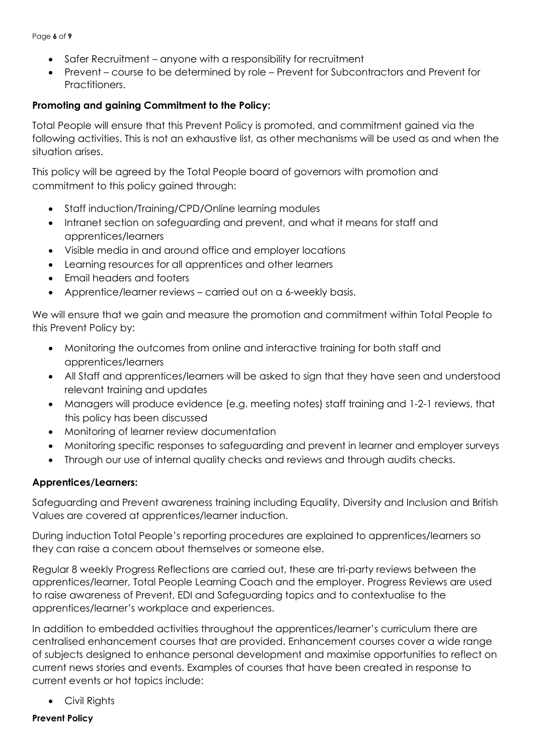Page **6** of **9**

- Safer Recruitment anyone with a responsibility for recruitment
- Prevent course to be determined by role Prevent for Subcontractors and Prevent for Practitioners.

## **Promoting and gaining Commitment to the Policy:**

Total People will ensure that this Prevent Policy is promoted, and commitment gained via the following activities. This is not an exhaustive list, as other mechanisms will be used as and when the situation arises.

This policy will be agreed by the Total People board of governors with promotion and commitment to this policy gained through:

- Staff induction/Training/CPD/Online learning modules
- Intranet section on safeguarding and prevent, and what it means for staff and apprentices/learners
- Visible media in and around office and employer locations
- Learning resources for all apprentices and other learners
- Email headers and footers
- Apprentice/learner reviews carried out on a 6-weekly basis.

We will ensure that we gain and measure the promotion and commitment within Total People to this Prevent Policy by:

- Monitoring the outcomes from online and interactive training for both staff and apprentices/learners
- All Staff and apprentices/learners will be asked to sign that they have seen and understood relevant training and updates
- Managers will produce evidence (e.g. meeting notes) staff training and 1-2-1 reviews, that this policy has been discussed
- Monitoring of learner review documentation
- Monitoring specific responses to safeguarding and prevent in learner and employer surveys
- Through our use of internal quality checks and reviews and through audits checks.

### **Apprentices/Learners:**

Safeguarding and Prevent awareness training including Equality, Diversity and Inclusion and British Values are covered at apprentices/learner induction.

During induction Total People's reporting procedures are explained to apprentices/learners so they can raise a concern about themselves or someone else.

Regular 8 weekly Progress Reflections are carried out, these are tri-party reviews between the apprentices/learner, Total People Learning Coach and the employer. Progress Reviews are used to raise awareness of Prevent, EDI and Safeguarding topics and to contextualise to the apprentices/learner's workplace and experiences.

In addition to embedded activities throughout the apprentices/learner's curriculum there are centralised enhancement courses that are provided. Enhancement courses cover a wide range of subjects designed to enhance personal development and maximise opportunities to reflect on current news stories and events. Examples of courses that have been created in response to current events or hot topics include:

• Civil Rights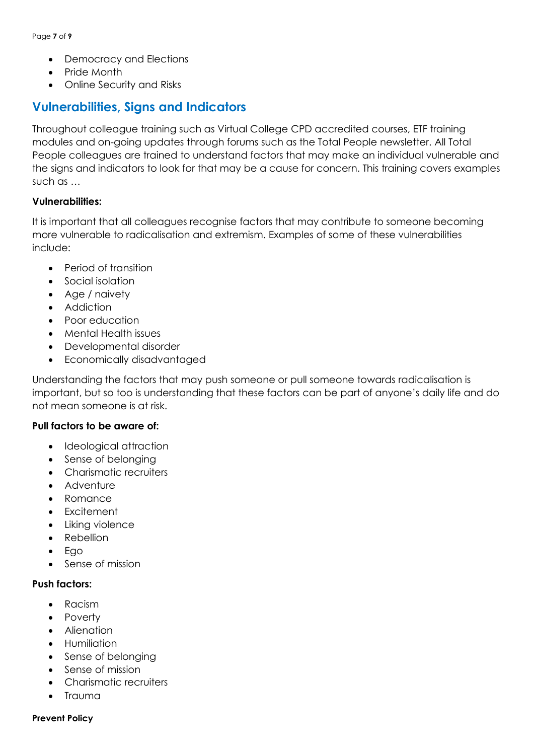- Democracy and Elections
- Pride Month
- Online Security and Risks

# **Vulnerabilities, Signs and Indicators**

Throughout colleague training such as Virtual College CPD accredited courses, ETF training modules and on-going updates through forums such as the Total People newsletter. All Total People colleagues are trained to understand factors that may make an individual vulnerable and the signs and indicators to look for that may be a cause for concern. This training covers examples such as …

#### **Vulnerabilities:**

It is important that all colleagues recognise factors that may contribute to someone becoming more vulnerable to radicalisation and extremism. Examples of some of these vulnerabilities include:

- Period of transition
- Social isolation
- Age / naivety
- Addiction
- Poor education
- Mental Health issues
- Developmental disorder
- Economically disadvantaged

Understanding the factors that may push someone or pull someone towards radicalisation is important, but so too is understanding that these factors can be part of anyone's daily life and do not mean someone is at risk.

#### **Pull factors to be aware of:**

- Ideological attraction
- Sense of belonging
- Charismatic recruiters
- Adventure
- Romance
- Excitement
- Liking violence
- Rebellion
- Ego
- Sense of mission

#### **Push factors:**

- Racism
- Poverty
- Alienation
- Humiliation
- Sense of belonging
- Sense of mission
- Charismatic recruiters
- Trauma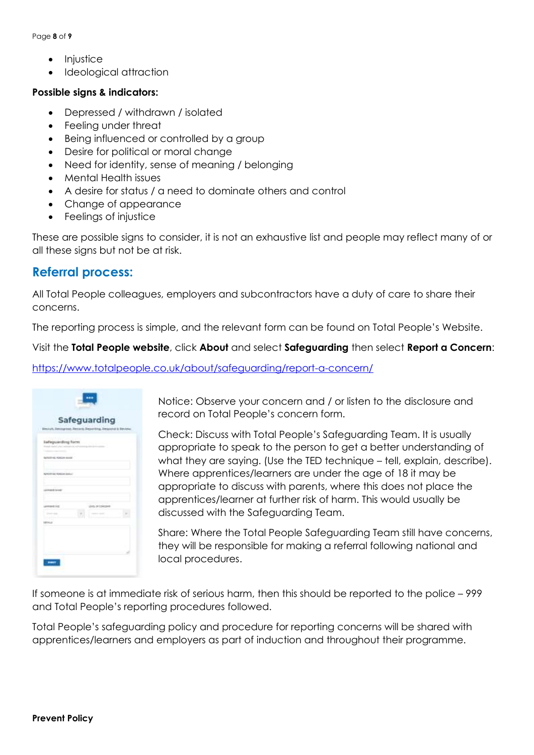Page **8** of **9**

- Injustice
- Ideological attraction

#### **Possible signs & indicators:**

- Depressed / withdrawn / isolated
- Feeling under threat
- Being influenced or controlled by a group
- Desire for political or moral change
- Need for identity, sense of meaning / belonging
- Mental Health issues
- A desire for status / a need to dominate others and control
- Change of appearance
- Feelings of injustice

These are possible signs to consider, it is not an exhaustive list and people may reflect many of or all these signs but not be at risk.

## **Referral process:**

All Total People colleagues, employers and subcontractors have a duty of care to share their concerns.

The reporting process is simple, and the relevant form can be found on Total People's Website.

### Visit the **Total People website**, click **About** and select **Safeguarding** then select **Report a Concern**:

### <https://www.totalpeople.co.uk/about/safeguarding/report-a-concern/>

| content percinent and<br><b>Safeguarding form</b><br>though the left yies (militate rule out to |                  |                |  |
|-------------------------------------------------------------------------------------------------|------------------|----------------|--|
| Constitution and the constitution<br><b>CONSTRUCTION</b><br><b>Schooling</b> Hollan Aves /      |                  |                |  |
| ٠<br>an an a<br><b>BUTCHTHE FERGUS 20415</b>                                                    |                  |                |  |
| <b>CONTINUES IN AN ARTISTS</b><br>m<br>$\sim$<br>LAAmsteld Sowall                               |                  |                |  |
| 57.77                                                                                           |                  | <b>READERS</b> |  |
| LAAHHANE TITE<br><b>CONTRACTOR</b>                                                              | LEVEL OF USACOHO |                |  |
| The process of the<br>1974.0                                                                    |                  |                |  |

Notice: Observe your concern and / or listen to the disclosure and record on Total People's concern form.

Check: Discuss with Total People's Safeguarding Team. It is usually appropriate to speak to the person to get a better understanding of what they are saying. (Use the TED technique – tell, explain, describe). Where apprentices/learners are under the age of 18 it may be appropriate to discuss with parents, where this does not place the apprentices/learner at further risk of harm. This would usually be discussed with the Safeguarding Team.

Share: Where the Total People Safeguarding Team still have concerns, they will be responsible for making a referral following national and local procedures.

If someone is at immediate risk of serious harm, then this should be reported to the police – 999 and Total People's reporting procedures followed.

Total People's safeguarding policy and procedure for reporting concerns will be shared with apprentices/learners and employers as part of induction and throughout their programme.